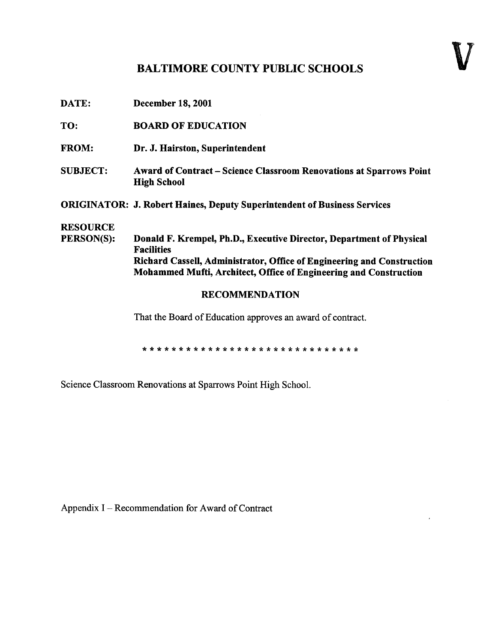## BALTIMORE COUNTY PUBLIC SCHOOLS

| DATE:                                                                                                                                       | <b>December 18, 2001</b>                                                                  |  |  |  |  |  |  |  |  |
|---------------------------------------------------------------------------------------------------------------------------------------------|-------------------------------------------------------------------------------------------|--|--|--|--|--|--|--|--|
| TO:                                                                                                                                         | <b>BOARD OF EDUCATION</b>                                                                 |  |  |  |  |  |  |  |  |
| <b>FROM:</b>                                                                                                                                | Dr. J. Hairston, Superintendent                                                           |  |  |  |  |  |  |  |  |
| <b>SUBJECT:</b>                                                                                                                             | Award of Contract - Science Classroom Renovations at Sparrows Point<br><b>High School</b> |  |  |  |  |  |  |  |  |
|                                                                                                                                             | <b>ORIGINATOR: J. Robert Haines, Deputy Superintendent of Business Services</b>           |  |  |  |  |  |  |  |  |
| <b>RESOURCE</b>                                                                                                                             |                                                                                           |  |  |  |  |  |  |  |  |
| PERSON(S):                                                                                                                                  | Donald F. Krempel, Ph.D., Executive Director, Department of Physical<br><b>Facilities</b> |  |  |  |  |  |  |  |  |
| Richard Cassell, Administrator, Office of Engineering and Construction<br>Mohammed Mufti, Architect, Office of Engineering and Construction |                                                                                           |  |  |  |  |  |  |  |  |
| <b>RECOMMENDATION</b>                                                                                                                       |                                                                                           |  |  |  |  |  |  |  |  |
|                                                                                                                                             | That the Board of Education approves an award of contract.                                |  |  |  |  |  |  |  |  |
|                                                                                                                                             |                                                                                           |  |  |  |  |  |  |  |  |

Science Classroom Renovations at Sparrows Point High School.

Appendix I - Recommendation for Award of Contract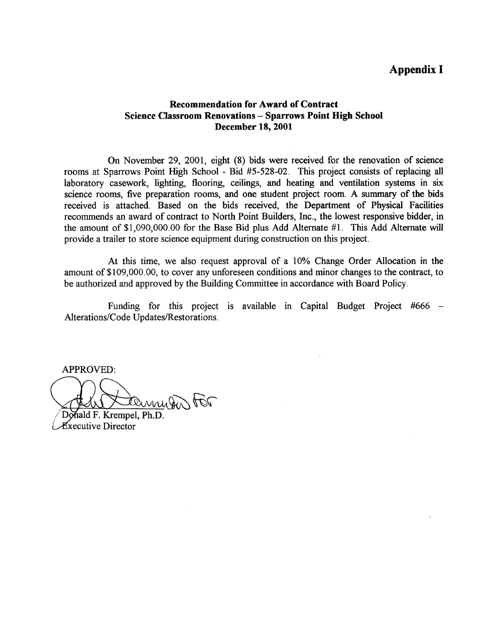## Appendix I

## Recommendation for Award of Contract Science Classroom Renovations - Sparrows Point High School December 18, 2001

On November 29, 2001, eight (8) bids were received for the renovation of science rooms at Sparrows Point High School - Bid #5-528-02. This project consists of replacing all laboratory casework, lighting, flooring, ceilings, and heating and ventilation systems in six science rooms, five preparation rooms, and one student project room. A summary of the bids received is attached. Based on the bids received, the Department of Physical Facilities recommends an award of contract to North Point Builders, Inc., the lowest responsive bidder, in the amount of \$1,090,000.00 for the Base Bid plus Add Alternate #1. This Add Alternate will provide a trailer to store science equipment during construction on this project.

At this time, we also request approval of a 10% Change Order Allocation in the amount of \$109,000.00, to cover any unforeseen conditions and minor changes to the contract, to be authorized and approved by the Building Committee in accordance with Board Policy.

Funding for this project is available in Capital Budget Project #666 – Alterations/Code Updates/Restorations .

APPROVED:

temmisen tor

Donald F. Krempel, Ph.D. xecutive Director